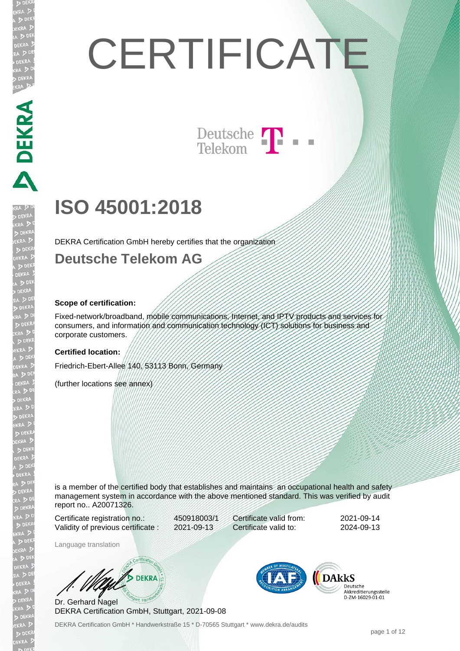# PERRA PERRA

**DEKRA** 

**EKR** 

# **CERTIFICATE**

### Deutsche  $\prod$ Telekom

# **ISO 45001:2018**

DEKRA Certification GmbH hereby certifies that the organization

### **Deutsche Telekom AG**

### **Scope of certification:**

Fixed-network/broadband, mobile communications, Internet, and IPTV products and services for consumers, and information and communication technology (ICT) solutions for business and corporate customers.

### **Certified location:**

Friedrich-Ebert-Allee 140, 53113 Bonn, Germany

(further locations see annex)

is a member of the certified body that establishes and maintains an occupational health and safety management system in accordance with the above mentioned standard. This was verified by audit report no.. A20071326.

Certificate registration no.: 450918003/1 Validity of previous certificate : 2021-09-13

Certificate valid from: 2021-09-14 Certificate valid to: 2024-09-13

Language translation

**DEKRA** 

Dr. Gerhard Nagel DEKRA Certification GmbH, Stuttgart, 2021-09-08



**DARKS** Deutsche Akkreditierungsstelle D-ZM-16029-01-01

DEKRA Certification GmbH \* Handwerkstraße 15 \* D-70565 Stuttgart \* www.dekra.de/audits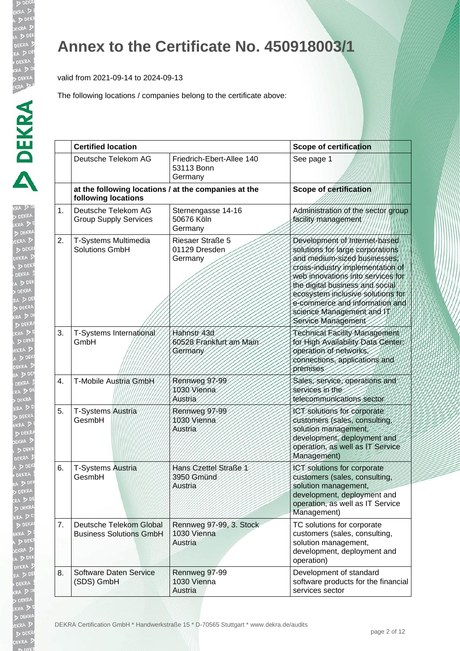EKR  $\triangleright$ 

EKRA  $> 5$ **EKR** 

### **Annex to the Certificate No. 450918003/1**

valid from 2021-09-14 to 2024-09-13

|    | <b>Certified location</b>                                                   |                                                    | <b>Scope of certification</b>                                                                                                                                                                                                                                                                                                          |  |
|----|-----------------------------------------------------------------------------|----------------------------------------------------|----------------------------------------------------------------------------------------------------------------------------------------------------------------------------------------------------------------------------------------------------------------------------------------------------------------------------------------|--|
|    | Deutsche Telekom AG                                                         | Friedrich-Ebert-Allee 140<br>53113 Bonn<br>Germany | See page 1                                                                                                                                                                                                                                                                                                                             |  |
|    | at the following locations / at the companies at the<br>following locations |                                                    | <b>Scope of certification</b>                                                                                                                                                                                                                                                                                                          |  |
| 1. | Deutsche Telekom AG<br><b>Group Supply Services</b>                         | Sternengasse 14-16<br>50676 Köln<br>Germany        | Administration of the sector group<br>facility management                                                                                                                                                                                                                                                                              |  |
| 2. | T-Systems Multimedia<br><b>Solutions GmbH</b>                               | Riesaer Straße 5<br>01129 Dresden<br>Germany       | Development of Internet-based<br>solutions for large corporations<br>and medium-sized businesses<br>cross-industry implementation of<br>web innovations into services for<br>the digital business and social<br>ecosystem inclusive solutions for<br>e-commerce and information and<br>science Management and IT<br>Service Management |  |
| 3. | T-Systems International<br>GmbH                                             | Hahnstr 43d<br>60528 Frankfurt am Main<br>Germany  | Technical Facility Management<br>for High Availability Data Center:<br>operation of networks<br>connections, applications and<br>premises                                                                                                                                                                                              |  |
| 4. | T-Mobile Austria GmbH                                                       | Rennweg 97-99<br>1030 Vienna<br>Austria            | Sales, service, operations and<br>services in the<br>telecommunications sector                                                                                                                                                                                                                                                         |  |
| 5. | T-Systems Austria<br>GesmbH                                                 | Rennweg 97-99<br>1030 Vienna<br>Austria            | ICT solutions for corporate<br>customers (sales, consulting,<br>solution management,<br>development, deployment and<br>operation, as well as IT Service<br>Management)                                                                                                                                                                 |  |
| 6. | <b>T-Systems Austria</b><br>GesmbH                                          | Hans Czettel Straße 1<br>3950 Gmünd<br>Austria     | ICT solutions for corporate<br>customers (sales, consulting,<br>solution management,<br>development, deployment and<br>operation, as well as IT Service<br>Management)                                                                                                                                                                 |  |
| 7. | Deutsche Telekom Global<br><b>Business Solutions GmbH</b>                   | Rennweg 97-99, 3. Stock<br>1030 Vienna<br>Austria  | TC solutions for corporate<br>customers (sales, consulting,<br>solution management,<br>development, deployment and<br>operation)                                                                                                                                                                                                       |  |
| 8. | <b>Software Daten Service</b><br>(SDS) GmbH                                 | Rennweg 97-99<br>1030 Vienna<br>Austria            | Development of standard<br>software products for the financial<br>services sector                                                                                                                                                                                                                                                      |  |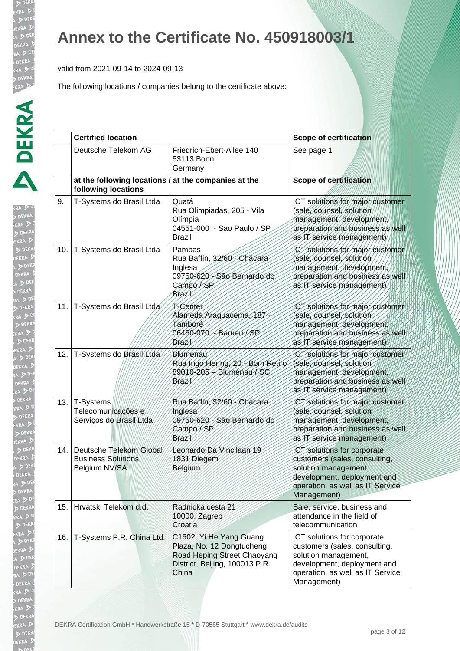valid from 2021-09-14 to 2024-09-13

| ŀ                  |  |
|--------------------|--|
|                    |  |
|                    |  |
|                    |  |
|                    |  |
|                    |  |
|                    |  |
|                    |  |
|                    |  |
|                    |  |
|                    |  |
|                    |  |
|                    |  |
|                    |  |
|                    |  |
|                    |  |
|                    |  |
|                    |  |
|                    |  |
| KR<br>EK<br>A<br>j |  |
|                    |  |
|                    |  |
|                    |  |
|                    |  |
|                    |  |
|                    |  |
| ĺ                  |  |
|                    |  |
|                    |  |
|                    |  |
|                    |  |
|                    |  |
| ľ                  |  |
|                    |  |
|                    |  |
|                    |  |
|                    |  |
|                    |  |
|                    |  |
|                    |  |
|                    |  |
|                    |  |
| ï<br>b             |  |
| Þ                  |  |
|                    |  |
| ļ<br>J             |  |
| ۱                  |  |
|                    |  |
| $\triangledown$    |  |
| 3                  |  |
| J                  |  |
|                    |  |
| l<br>t             |  |
|                    |  |
| j                  |  |
|                    |  |
|                    |  |

|     | <b>Certified location</b>                                                    |                                                                                                                                | <b>Scope of certification</b>                                                                                                                                          |
|-----|------------------------------------------------------------------------------|--------------------------------------------------------------------------------------------------------------------------------|------------------------------------------------------------------------------------------------------------------------------------------------------------------------|
|     | Deutsche Telekom AG                                                          | Friedrich-Ebert-Allee 140<br>53113 Bonn<br>Germany                                                                             | See page 1                                                                                                                                                             |
|     | at the following locations / at the companies at the<br>following locations  |                                                                                                                                | <b>Scope of certification</b>                                                                                                                                          |
| 9.  | T-Systems do Brasil Ltda                                                     | Quatá<br>Rua Olimpiadas, 205 - Vila<br>Olímpia<br>04551-000 - Sao Paulo / SP<br><b>Brazil</b>                                  | ICT solutions for major customer<br>(sale, counsel, solution<br>management, development,<br>preparation and business as well<br>as IT service management)              |
| 10. | T-Systems do Brasil Ltda                                                     | Pampas<br>Rua Baffin, 32/60 - Chácara<br>Inglesa<br>09750-620 - São Bernardo do<br>Campo/SP<br>Brazil                          | ICT solutions for major customer<br>(sale, counsel, solution<br>management, development<br>preparation and business as well<br>as IT service management)               |
| 11. | T-Systems do Brasil Ltda                                                     | T-Center<br>Alameda Araguacema, 187<br>Tamboré<br>06460-070 - Barueri / SP<br>Brazil                                           | ICT solutions for major customer<br>(sale, counsel, solution<br>management, development,<br>preparation and business as well<br>as IT service management)              |
| 12. | T-Systems do Brasil/Ltda                                                     | Blumenau<br>Rua Ingo Hering, 20 - Bom Retiro<br>89010-205 - Blumenau / SC<br>Brazil                                            | ICT solutions for major customer<br>(sale, counsel, solution<br>management, development,<br>preparation and business as well<br>as IT service management)              |
| 13. | T-Systems<br>Telecomunicações e<br>Serviços do Brasil Ltda                   | Rua Baffin, 32/60 - Chácara<br>Inglesa<br>09750-620 - São Bernardo do<br>Campo / SP<br>Brazil                                  | ICT solutions for major customer<br>(sale, counsel, solution<br>management, development,<br>preparation and business as well<br>as IT service management)              |
| 14. | Deutsche Telekom Global<br><b>Business Solutions</b><br><b>Belgium NV/SA</b> | Leonardo Da Vincilaan 19<br>1831 Diegem<br>Belgium                                                                             | ICT solutions for corporate<br>customers (sales, consulting,<br>solution management,<br>development, deployment and<br>operation, as well as IT Service<br>Management) |
| 15. | Hrvatski Telekom d.d.                                                        | Radnicka cesta 21<br>10000, Zagreb<br>Croatia                                                                                  | Sale, service, business and<br>attendance in the field of<br>telecommunication                                                                                         |
| 16. | T-Systems P.R. China Ltd.                                                    | C1602, Yi He Yang Guang<br>Plaza, No. 12 Dongtucheng<br>Road Heping Street Chaoyang<br>District, Beijing, 100013 P.R.<br>China | ICT solutions for corporate<br>customers (sales, consulting,<br>solution management,<br>development, deployment and<br>operation, as well as IT Service<br>Management) |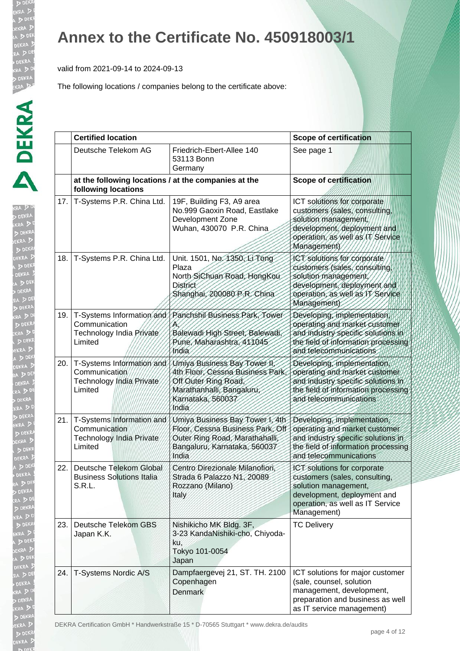**D** DF KR.

EKR  $\triangleright$ 

**b** DE EKRA  $D<sub>DE</sub>$ 

### **Annex to the Certificate No. 450918003/1**

valid from 2021-09-14 to 2024-09-13

The following locations / companies belong to the certificate above:

|     | <b>Certified location</b>                                                                |                                                                                                                                                     | <b>Scope of certification</b>                                                                                                                                          |  |
|-----|------------------------------------------------------------------------------------------|-----------------------------------------------------------------------------------------------------------------------------------------------------|------------------------------------------------------------------------------------------------------------------------------------------------------------------------|--|
|     | Deutsche Telekom AG                                                                      | Friedrich-Ebert-Allee 140<br>53113 Bonn<br>Germany                                                                                                  | See page 1                                                                                                                                                             |  |
|     | at the following locations / at the companies at the<br>following locations              |                                                                                                                                                     | <b>Scope of certification</b>                                                                                                                                          |  |
| 17. | T-Systems P.R. China Ltd.                                                                | 19F, Building F3, A9 area<br>No.999 Gaoxin Road, Eastlake<br>Development Zone<br>Wuhan, 430070 P.R. China                                           | ICT solutions for corporate<br>customers (sales, consulting,<br>solution management,<br>development, deployment and<br>operation, as well as IT Service<br>Management) |  |
| 18. | T-Systems P.R. China Ltd.                                                                | Unit. 1501, No. 1350, Li Tong<br>Plaza<br>North SiChuan Road, HongKou<br><b>District</b><br>Shanghai, 200080 P.R. China                             | ICT solutions for corporate<br>customers (sales, consulting,<br>solution management<br>development, deployment and<br>operation, as well as IT Service<br>Management)  |  |
| 19. | Communication<br>Technology India Private<br>Limited                                     | T-Systems Information and / Panchshil Business Park, Tower<br>Balewadi High Street, Balewadi,<br>Pune, Maharashtra, 411045<br>India                 | Developing, implementation,<br>operating and market customer<br>and industry specific solutions in<br>the field of information processing<br>and telecommunications    |  |
| 20. | T-Systems Information and<br>Communication<br>Technology India Private<br>Limited        | Umiya Business Bay Tower II,<br>4th Floor, Cessna Business Park,<br>Off Outer Ring Road,<br>Marathanhalli, Bangaluru,<br>Karnataka, 560037<br>India | Developing, implementation,<br>operating and market customer<br>and industry specific solutions in<br>the tield of information processing<br>and telecommunications    |  |
| 21. | T-Systems Information and<br>Communication<br><b>Technology India Private</b><br>Limited | Umiya Business Bay Tower I, 4th<br>Floor, Cessna Business Park, Off<br>Outer Ring Road, Marathahalli,<br>Bangaluru, Karnataka, 560037<br>India      | Developing, implementation,<br>operating and market customer<br>and industry specific solutions in<br>the field of information processing<br>and telecommunications    |  |
| 22. | Deutsche Telekom Global<br><b>Business Solutions Italia</b><br>S.R.L.                    | Centro Direzionale Milanofiori,<br>Strada 6 Palazzo N1, 20089<br>Rozzano (Milano)<br>Italy                                                          | ICT solutions for corporate<br>customers (sales, consulting<br>solution management,<br>development, deployment and<br>operation, as well as IT Service<br>Management)  |  |
| 23. | Deutsche Telekom GBS<br>Japan K.K.                                                       | Nishikicho MK Bldg. 3F,<br>3-23 KandaNishiki-cho, Chiyoda-<br>ku,<br>Tokyo 101-0054<br>Japan                                                        | <b>TC Delivery</b>                                                                                                                                                     |  |
| 24. | T-Systems Nordic A/S                                                                     | Dampfaergevej 21, ST. TH. 2100<br>Copenhagen<br><b>Denmark</b>                                                                                      | ICT solutions for major customer<br>(sale, counsel, solution<br>management, development,<br>preparation and business as well<br>as IT service management)              |  |

DEKRA Certification GmbH \* Handwerkstraße 15 \* D-70565 Stuttgart \* www.dekra.de/audits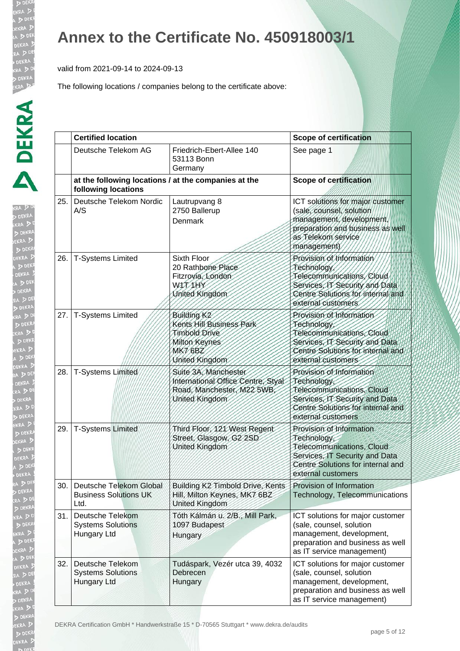valid from 2021-09-14 to 2024-09-13

The following locations / companies belong to the certificate above:

| <b>RA</b> 2 DE<br><b>DEKRA</b><br>kra D <sup>i</sup><br>DEKRA<br>EKRA D<br>D DEKR           | הי    |  |
|---------------------------------------------------------------------------------------------|-------|--|
| DEKRA D<br>$\sqrt{500}$<br>K<br>DEKRA A<br>A D DEK<br><b>DEKRA</b><br>RA DE<br><b>DEKRA</b> | 26.   |  |
| , DE<br>(RA D DE<br>KRA DD<br>DEKR<br>EKRA 3<br>A DEKI<br>DEKRA D                           |       |  |
| A DEK<br>DEKRA !<br>RA DDE<br>KRA<br>, Di<br>KRA DD<br>DEKRA                                | 28.   |  |
| EKRA D<br>D DEKRA<br>EKRA D<br>D DEKR<br><b>DEKRA</b> P<br>DEK<br>DEKRA                     | 29.   |  |
| A D DEN<br>DEKRA<br>RA DDE<br>DEKRA                                                         | 30.   |  |
| kra D <sup>r</sup><br>D DEKR<br>$\sum$ DEKI<br>EKRA D                                       | 31    |  |
| A D DEN<br>KRA 5<br>D.<br>RA D DE<br>DEKRA !<br>RA DD<br>DEKRA                              |       |  |
| KRA DO<br><b>DEKRA</b><br>D<br>EKRA D<br>D DEKR<br><b>DEKRA</b>                             | DEKR, |  |

|     | <b>Certified location</b>                                                   |                                                                                                                    | <b>Scope of certification</b>                                                                                                                                     |
|-----|-----------------------------------------------------------------------------|--------------------------------------------------------------------------------------------------------------------|-------------------------------------------------------------------------------------------------------------------------------------------------------------------|
|     | Deutsche Telekom AG                                                         | Friedrich-Ebert-Allee 140<br>53113 Bonn<br>Germany                                                                 | See page 1                                                                                                                                                        |
|     | at the following locations / at the companies at the<br>following locations |                                                                                                                    | <b>Scope of certification</b>                                                                                                                                     |
| 25. | Deutsche Telekom Nordic<br>A/S                                              | Lautrupvang 8<br>2750 Ballerup<br>Denmark                                                                          | ICT solutions for major customer<br>(sale, counsel, solution<br>management, development,<br>preparation and business as well<br>as Telekom service<br>management) |
| 26. | <b>T-Systems Limited</b>                                                    | Sixth Floor<br>20 Rathbone Place<br>Fitzrovia, London<br>WITHY<br>United Kingdom                                   | Provision of Information<br>Technology<br>Telecommunications, Cloud<br>Services, IT Security and Data<br>Centre Solutions for internal and<br>external customers  |
| 27. | <b>T-Systems Limited</b>                                                    | Building K <sub>2</sub><br>Kents Hill Business Park<br>Timbold Drive<br>Milton Keynes<br>MK7 6BZ<br>United Kingdom | Provision of Information<br>Technology<br>Telecommunications, Cloud<br>Services, IT Security and Data<br>Centre Solutions for internal and<br>external customers  |
| 28. | <b>T-Systems Limited</b>                                                    | Suite 3A, Manchester<br>International Office Centre, Styal<br>Road, Manchester, M22 5WB<br>United Kingdom          | Provision of Information<br>Technology,<br>Telecommunications, Cloud<br>Services, IT Security and Data<br>Centre Solutions for internal and<br>external customers |
| 29. | <b>T-Systems Limited</b>                                                    | Third Floor, 121 West Regent<br>Street, Glasgow, G2 2SD<br>United Kingdom                                          | Provision of Information<br>Technology,<br>Telecommunications, Cloud<br>Services, IT Security and Data<br>Centre Solutions for internal and<br>external customers |
| 30. | Deutsche Telekom Global<br><b>Business Solutions UK</b><br>Ltd.             | Building K2 Timbold Drive, Kents<br>Hill, Milton Keynes, MK7 6BZ<br><b>United Kingdom</b>                          | Provision of Information<br>Technology, Telecommunications                                                                                                        |
| 31. | <b>Deutsche Telekom</b><br><b>Systems Solutions</b><br>Hungary Ltd          | Tóth Kálmán u. 2/B., Mill Park,<br>1097 Budapest<br>Hungary                                                        | ICT solutions for major customer<br>(sale, counsel, solution<br>management, development,<br>preparation and business as well<br>as IT service management)         |
| 32. | Deutsche Telekom<br><b>Systems Solutions</b><br>Hungary Ltd                 | Tudáspark, Vezér utca 39, 4032<br>Debrecen<br>Hungary                                                              | ICT solutions for major customer<br>(sale, counsel, solution<br>management, development,<br>preparation and business as well<br>as IT service management)         |

A Certification GmbH \* Handwerkstraße 15 \* D-70565 Stuttgart \* www.dekra.de/audits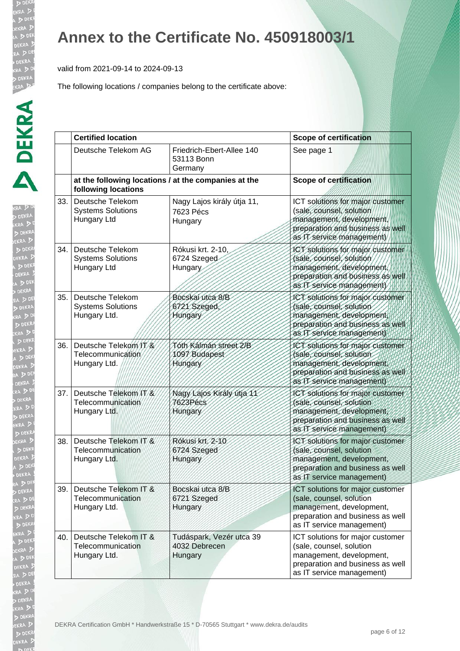**DE** KR/

EKRA

b DE EKRA  $D<sub>DE</sub>$ EKR/

## **Annex to the Certificate No. 450918003/1**

valid from 2021-09-14 to 2024-09-13

|     | <b>Certified location</b>                                                   |                                                      | <b>Scope of certification</b>                                                                                                                              |  |
|-----|-----------------------------------------------------------------------------|------------------------------------------------------|------------------------------------------------------------------------------------------------------------------------------------------------------------|--|
|     | Deutsche Telekom AG                                                         | Friedrich-Ebert-Allee 140<br>53113 Bonn<br>Germany   | See page 1                                                                                                                                                 |  |
|     | at the following locations / at the companies at the<br>following locations |                                                      | <b>Scope of certification</b>                                                                                                                              |  |
| 33. | Deutsche Telekom<br><b>Systems Solutions</b><br>Hungary Ltd                 | Nagy Lajos király útja 11,<br>7623 Pécs<br>Hungary   | ICT solutions for major customer<br>(sale, counsel, solution<br>management, development,<br>preparation and business as well<br>as IT service management)  |  |
| 34. | Deutsche Telekom<br><b>Systems Solutions</b><br>Hungary Ltd                 | Rókusi krt. 2-10,<br>6724 Szeged<br>Hungary          | ICT solutions for major customer<br>(sale, counsel, solution<br>management, development,<br>preparation and business as well<br>as IT service management)  |  |
| 35. | Deutsche Telekom<br><b>Systems Solutions</b><br>Hungary Ltd.                | Bocskai utca 8/B<br>6721 Szeged,<br><b>Hungary</b>   | ICT solutions for major customer<br>(sale, counsel, solution<br>management, development,<br>preparation and business as well<br>as IT service management)  |  |
| 36. | Deutsche Telekom/IT/&<br>Telecommunication<br>Hungary Ltd.                  | Tóth Kálmán street 2/B<br>1097 Budapest<br>Hungary   | ICT solutions for major customer.<br>(sale, counsel, solution<br>management, development,<br>preparation and business as well<br>as IT service management) |  |
| 37. | Deutsche Telekom/IT/&<br>Telecommunication<br>Hungary Ltd.                  | Nagy Lajos Király útja 11<br>7623Pécs<br>Hungary     | ICT solutions for major customer<br>(sale, counsel, solution<br>management, development,<br>preparation and business as well<br>as IT service management)  |  |
| 38. | Deutsche Telekom IT/&<br>Telecommunication<br>Hungary Ltd.                  | Rókusi krt. 2-10<br>6724 Szeged<br>Hungary           | ICT solutions for major customer<br>(sale, counsel, solution<br>management, development,<br>preparation and business as well<br>as IT service management)  |  |
| 39. | Deutsche Telekom IT &<br>Telecommunication<br>Hungary Ltd.                  | Bocskai utca 8/B<br>6721 Szeged<br>Hungary           | ICT solutions for major customer<br>(sale, counsel, solution<br>management, development,<br>preparation and business as well<br>as IT service management)  |  |
| 40. | Deutsche Telekom IT &<br>Telecommunication<br>Hungary Ltd.                  | Tudáspark, Vezér utca 39<br>4032 Debrecen<br>Hungary | ICT solutions for major customer<br>(sale, counsel, solution<br>management, development,<br>preparation and business as well<br>as IT service management)  |  |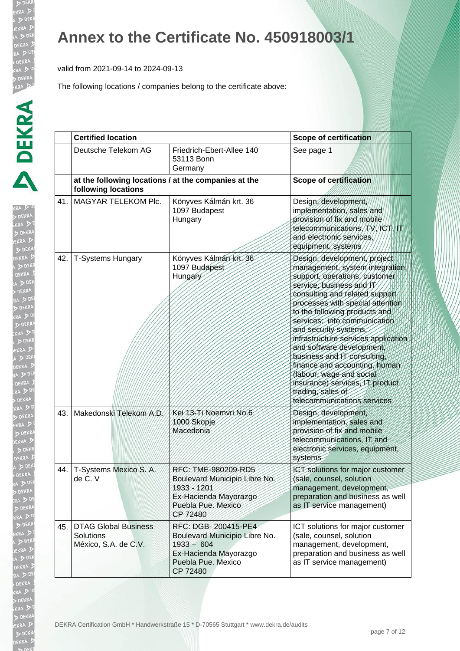**DEK KRA DE DEKRA**  $D<sub>1</sub>$ 

> RA ! **DEN**

 $DDE$ **JEKRA**  $5<sup>1</sup>$ 

 $\sqrt{2}$ EKRA A D

### **Annex to the Certificate No. 450918003/1**

valid from 2021-09-14 to 2024-09-13

|     | <b>Certified location</b>                                                   |                                                                                                                                 | <b>Scope of certification</b>                                                                                                                                                                                                                                                                                                                                                                                                                                                                                                                      |  |
|-----|-----------------------------------------------------------------------------|---------------------------------------------------------------------------------------------------------------------------------|----------------------------------------------------------------------------------------------------------------------------------------------------------------------------------------------------------------------------------------------------------------------------------------------------------------------------------------------------------------------------------------------------------------------------------------------------------------------------------------------------------------------------------------------------|--|
|     | Deutsche Telekom AG                                                         | Friedrich-Ebert-Allee 140<br>53113 Bonn<br>Germany                                                                              | See page 1                                                                                                                                                                                                                                                                                                                                                                                                                                                                                                                                         |  |
|     | at the following locations / at the companies at the<br>following locations |                                                                                                                                 | <b>Scope of certification</b>                                                                                                                                                                                                                                                                                                                                                                                                                                                                                                                      |  |
| 41. | MAGYAR TELEKOM Plc.                                                         | Könyves Kálmán krt. 36<br>1097 Budapest<br>Hungary                                                                              | Design, development,<br>implementation, sales and<br>provision of fix and mobile<br>telecommunications, TV, ICT, IT<br>and electronic services.<br>equipment, systems                                                                                                                                                                                                                                                                                                                                                                              |  |
| 42. | <b>T-Systems Hungary</b>                                                    | Könyves Kálmán krt. 36<br>1097 Budapest<br>Hungary                                                                              | Design, development, project<br>management, system integration.<br>support, operations, customer<br>service, business and IT<br>consulting and related support<br>processes with special attention<br>to the following products and<br>services, info communication<br>and security systems.<br>infrastructure services application<br>and software development,<br>business and IT consulting<br>finance and accounting, human<br>(labour, wage and social<br>insurance) services, IT product<br>trading, sales of<br>telecommunications services |  |
| 43. | Makedonski Telekom A.D.                                                     | Kei 13-Ti Noemvri No.6<br>1000 Skopje<br>Macedonia                                                                              | Design, development,<br>implementation, sales and<br>provision of fix and mobile<br>telecommunications, IT and<br>electronic services, equipment,<br>systems                                                                                                                                                                                                                                                                                                                                                                                       |  |
| 44. | T-Systems Mexico S. A.<br>de C. V                                           | RFC: TME-980209-RD5<br>Boulevard Municipio Libre No.<br>1933 - 1201<br>Ex-Hacienda Mayorazgo<br>Puebla Pue. Mexico<br>CP 72480  | ICT solutions for major customer<br>(sale, counsel, solution<br>management, development,<br>preparation and business as well<br>as IT service management)                                                                                                                                                                                                                                                                                                                                                                                          |  |
| 45. | <b>DTAG Global Business</b><br>Solutions<br>México, S.A. de C.V.            | RFC: DGB-200415-PE4<br>Boulevard Municipio Libre No.<br>$1933 - 604$<br>Ex-Hacienda Mayorazgo<br>Puebla Pue. Mexico<br>CP 72480 | ICT solutions for major customer<br>(sale, counsel, solution<br>management, development,<br>preparation and business as well<br>as IT service management)                                                                                                                                                                                                                                                                                                                                                                                          |  |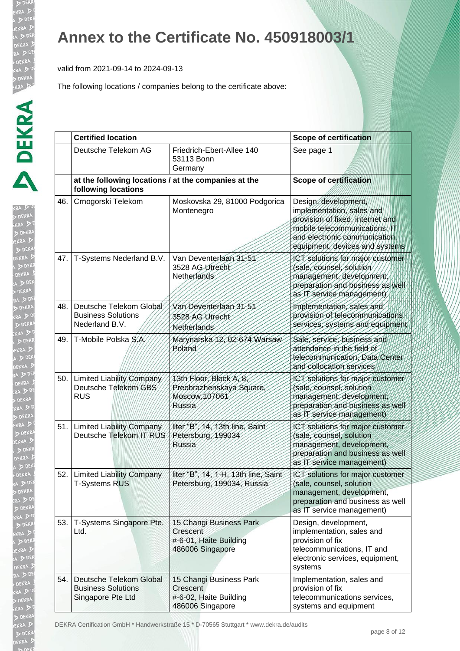DEKE

**DEI KRA DE** EKRA  $\triangleright$ 

RA ! DEN EKRA  $DDE$ **JEKRA**  $\triangleright$ 

### **Annex to the Certificate No. 450918003/1**

valid from 2021-09-14 to 2024-09-13

|      | <b>Certified location</b>                                                   |                                                                                   | <b>Scope of certification</b>                                                                                                                                                            |
|------|-----------------------------------------------------------------------------|-----------------------------------------------------------------------------------|------------------------------------------------------------------------------------------------------------------------------------------------------------------------------------------|
|      | Deutsche Telekom AG                                                         | Friedrich-Ebert-Allee 140<br>53113 Bonn<br>Germany                                | See page 1                                                                                                                                                                               |
|      | at the following locations / at the companies at the<br>following locations |                                                                                   | <b>Scope of certification</b>                                                                                                                                                            |
| 46.  | Crnogorski Telekom                                                          | Moskovska 29, 81000 Podgorica<br>Montenegro                                       | Design, development,<br>implementation, sales and<br>provision of fixed, internet and<br>mobile telecommunications; IT<br>and electronic communication<br>equipment, devices and systems |
| 47.  | T-Systems Nederland B.V.                                                    | Van Deventerlaan 31-51<br>3528 AG Utrecht<br>Netherlands                          | ICT solutions for major customer<br>(sale, counsel, solution<br>management, development<br>preparation and business as well<br>as IT service management)                                 |
| 48.  | Deutsche Telekom Global<br><b>Business Solutions</b><br>Nederland B.V.      | Van Deventerlaan 31-51<br>3528 AG Utrecht<br>Netherlands                          | Implementation, sales and<br>provision of telecommunications<br>services, systems and equipment                                                                                          |
| 49.  | T-Mobile Polska S.A.                                                        | Marynarska 12,02-674 Warsaw<br>Poland                                             | Sale, service, business and<br>attendance in the field of<br>telecommunication, Data Center<br>and collocation services                                                                  |
| 50.1 | Limited Liability Company<br>Deutsche Telekom GBS<br><b>RUS</b>             | 13th Floor, Block A, 8,<br>Preobrazhenskaya Square,<br>Moscow, 107061<br>Russia   | ICT solutions for major customer<br>(sale, counsel, solution<br>management, development,<br>preparation and business as well<br>as IT service management)                                |
| 51.  | <b>Limited Liability Company</b><br>Deutsche Telekom IT RUS                 | liter "B", 14, 13th line, Saint<br>Petersburg, 199034<br><b>Russia</b>            | ICT solutions for major customer<br>(sale, counsel, solution<br>management, development,<br>preparation and business as well<br>as IT service management)                                |
|      | 52. Limited Liability Company<br><b>T-Systems RUS</b>                       | liter "B", 14, 1-H, 13th line, Saint<br>Petersburg, 199034, Russia                | ICT solutions for major customer<br>(sale, counsel, solution<br>management, development,<br>preparation and business as well<br>as IT service management)                                |
| 53.  | T-Systems Singapore Pte.<br>Ltd.                                            | 15 Changi Business Park<br>Crescent<br>#-6-01, Haite Building<br>486006 Singapore | Design, development,<br>implementation, sales and<br>provision of fix<br>telecommunications, IT and<br>electronic services, equipment,<br>systems                                        |
| 54.  | Deutsche Telekom Global<br><b>Business Solutions</b><br>Singapore Pte Ltd   | 15 Changi Business Park<br>Crescent<br>#-6-02, Haite Building<br>486006 Singapore | Implementation, sales and<br>provision of fix<br>telecommunications services,<br>systems and equipment                                                                                   |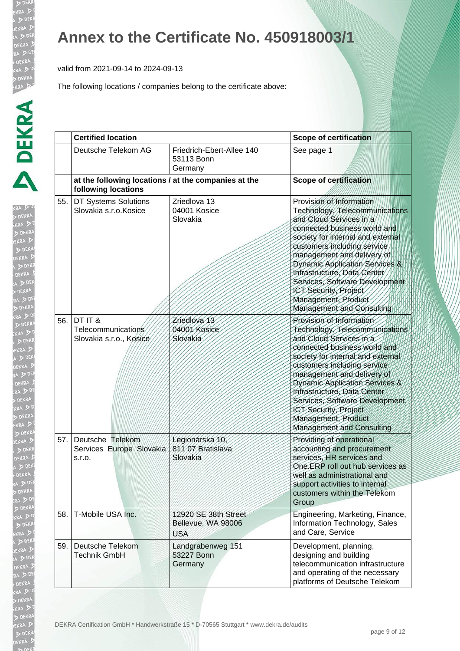valid from 2021-09-14 to 2024-09-13

| KRA<br>D DEI                  | ĺ |
|-------------------------------|---|
|                               |   |
|                               |   |
|                               |   |
|                               |   |
|                               |   |
|                               |   |
|                               |   |
|                               |   |
|                               |   |
|                               |   |
|                               |   |
| D<br>DEL J                    |   |
|                               |   |
|                               |   |
|                               |   |
|                               |   |
| ERA<br><b>D</b> D<br>KRA<br>D |   |
|                               |   |
|                               |   |
|                               |   |
|                               |   |
|                               |   |
|                               |   |
|                               |   |
|                               |   |
|                               |   |
|                               |   |
|                               |   |
|                               |   |
|                               |   |
|                               |   |
|                               |   |
|                               |   |
|                               |   |
|                               |   |
|                               |   |
|                               |   |
|                               |   |
|                               |   |
| ļ                             |   |
| ļ                             |   |
|                               |   |
| ţ<br>$\frac{1}{2}$            |   |
|                               |   |
|                               |   |
| ļ<br>ļ<br>l                   |   |
|                               |   |
| ١<br>l                        |   |
| į<br>ļ<br>b                   |   |
|                               |   |
|                               |   |
|                               |   |
|                               |   |
|                               |   |

|     | <b>Certified location</b>                                                   |                                                          | <b>Scope of certification</b>                                                                                                                                                                                                                                                                                                                                                                                   |
|-----|-----------------------------------------------------------------------------|----------------------------------------------------------|-----------------------------------------------------------------------------------------------------------------------------------------------------------------------------------------------------------------------------------------------------------------------------------------------------------------------------------------------------------------------------------------------------------------|
|     | Deutsche Telekom AG                                                         | Friedrich-Ebert-Allee 140<br>53113 Bonn<br>Germany       | See page 1                                                                                                                                                                                                                                                                                                                                                                                                      |
|     | at the following locations / at the companies at the<br>following locations |                                                          | <b>Scope of certification</b>                                                                                                                                                                                                                                                                                                                                                                                   |
| 55. | DT Systems Solutions<br>Slovakia s.r.o. Kosice                              | Zriedlova 13<br>04001 Kosice<br>Slovakia                 | Provision of Information<br>Technology, Telecommunications<br>and Cloud Services in a<br>connected business world and<br>society for internal and external<br>customers including service<br>management and delivery of<br>Dynamic Application Services &<br>Infrastructure, Data Center<br>Services, Software Development<br>ICT Security, Project<br>Management, Product<br>Management and Consulting         |
| 56. | DT IT &<br>Telecommunications<br>Slovakia s.r.o., Kosice                    | Zriedlova 13<br>04001 Kosice<br>Slovakia                 | Provision of Information<br>Technology, Telecommunications<br>and Cloud Services in a<br>connected business world and<br>society for internal and external<br>customers including service<br>management and delivery of<br>Dynamic Application Services &<br>Infrastructure, Data Center<br>Services, Software Development,<br>ICT Security, Project<br>Management, Product<br><b>Management and Consulting</b> |
| 57. | Deutsche Telekom<br>Services Europe Slovakia<br>s.r.o.                      | Legionárska 10,<br>811 07 Bratislava<br>Slovakia         | Providing of operational<br>accounting and procurement<br>services, HR services and<br>One ERP roll out hub services as<br>well as administrational and<br>support activities to internal<br>customers within the Telekom<br>Group                                                                                                                                                                              |
| 58. | T-Mobile USA Inc.                                                           | 12920 SE 38th Street<br>Bellevue, WA 98006<br><b>USA</b> | Engineering, Marketing, Finance,<br>Information Technology, Sales<br>and Care, Service                                                                                                                                                                                                                                                                                                                          |
| 59. | Deutsche Telekom<br><b>Technik GmbH</b>                                     | Landgrabenweg 151<br>53227 Bonn<br>Germany               | Development, planning,<br>designing and building<br>telecommunication infrastructure<br>and operating of the necessary<br>platforms of Deutsche Telekom                                                                                                                                                                                                                                                         |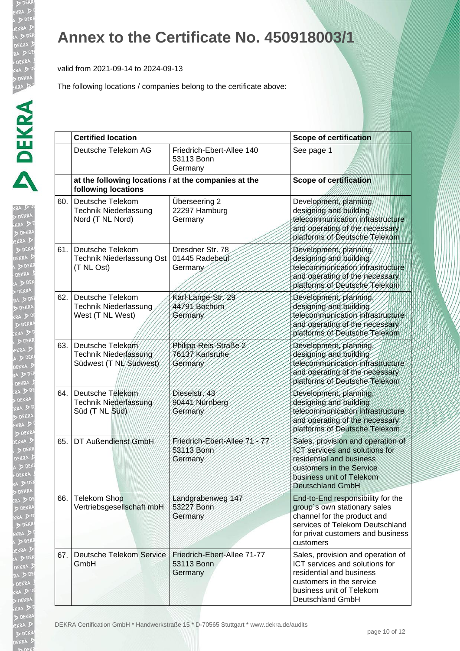**D**<sub>DE</sub> **KRA DE DEKRA** 

**b** DE

 $D$ **JEKRA**  $\triangleright$ 

 $\sqrt{2}$ 

### **Annex to the Certificate No. 450918003/1**

valid from 2021-09-14 to 2024-09-13

|      | <b>Certified location</b>                                                   |                                                      | <b>Scope of certification</b>                                                                                                                                                         |  |
|------|-----------------------------------------------------------------------------|------------------------------------------------------|---------------------------------------------------------------------------------------------------------------------------------------------------------------------------------------|--|
|      | Deutsche Telekom AG                                                         | Friedrich-Ebert-Allee 140<br>53113 Bonn<br>Germany   | See page 1                                                                                                                                                                            |  |
|      | at the following locations / at the companies at the<br>following locations |                                                      | <b>Scope of certification</b>                                                                                                                                                         |  |
| 60.  | Deutsche Telekom<br><b>Technik Niederlassung</b><br>Nord (T NL Nord)        | Überseering 2<br>22297 Hamburg<br>Germany            | Development, planning,<br>designing and building<br>telecommunication/infrastructure<br>and operating of the necessary<br>platforms of Deutsche Telekom                               |  |
| 61.1 | Deutsche Telekom<br>Technik Niederlassung Ost<br>(T NL Ost)                 | Dresdner Str. 78<br>01445 Radebeul<br>Germany        | Development, planning,<br>designing and building<br>telecommunication infrastructure<br>and operating of the necessary<br>platforms of Deutsche Telekom                               |  |
| 62.  | Deutsche Telekom<br>Technik Niederlassung<br>West (T NL West)               | Karl-Lange-Str. 29<br>44791 Bochum<br>Germany        | Development, planning,<br>designing and building<br>telecommunication infrastructure<br>and operating of the necessary<br>platforms of Deutsche Telekom                               |  |
| 63.1 | Deutsche Telekom<br>Technik Niederlassung<br>Südwest (T NL/Südwest)         | Philipp-Reis-Straße 2<br>76137 Karlsruhe<br>Germany  | Development, planning,<br>designing and building<br>telecommunication infrastructure<br>and operating of the necessary<br>platforms of Deutsche Telekom                               |  |
| 64.1 | Deutsche Telekom<br>Technik Niederlassung<br>Süd (T NL Süd)                 | Dieselstr.43<br>90441 Nürnberg<br>Germany            | Development, planning,<br>designing and building<br>telecommunication infrastructure<br>and operating of the necessary<br>platforms of Deutsche Telekom                               |  |
| 65.  | DT Außendienst GmbH                                                         | Friedrich-Ebert-Allee 71-77<br>53113 Bonn<br>Germany | Sales, provision and operation of<br>ICT services and solutions for<br>residential and business<br>customers in the Service<br>business unit of Telekom<br><b>Deutschland GmbH</b>    |  |
| 66.I | <b>Telekom Shop</b><br>Vertriebsgesellschaft mbH                            | Landgrabenweg 147<br>53227 Bonn<br>Germany           | End-to-End responsibility for the<br>group's own stationary sales<br>channel for the product and<br>services of Telekom Deutschland<br>for privat customers and business<br>customers |  |
| 67.1 | <b>Deutsche Telekom Service</b><br>GmbH                                     | Friedrich-Ebert-Allee 71-77<br>53113 Bonn<br>Germany | Sales, provision and operation of<br>ICT services and solutions for<br>residential and business<br>customers in the service<br>business unit of Telekom<br>Deutschland GmbH           |  |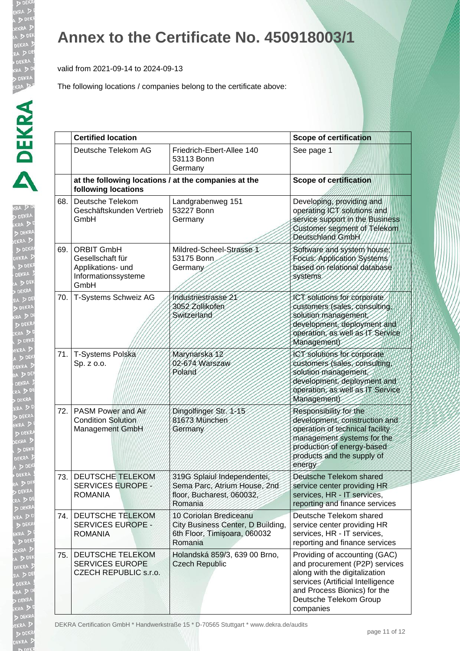**DE** KR/

EKRA

b DE EKRA  $D<sub>DE</sub>$ EKR/

### **Annex to the Certificate No. 450918003/1**

valid from 2021-09-14 to 2024-09-13

The following locations / companies belong to the certificate above:

|       | <b>Certified location</b>                                                                 |                                                                                                        | <b>Scope of certification</b>                                                                                                                                                                                |  |
|-------|-------------------------------------------------------------------------------------------|--------------------------------------------------------------------------------------------------------|--------------------------------------------------------------------------------------------------------------------------------------------------------------------------------------------------------------|--|
|       | Deutsche Telekom AG                                                                       | Friedrich-Ebert-Allee 140<br>53113 Bonn<br>Germany                                                     | See page 1                                                                                                                                                                                                   |  |
|       | at the following locations / at the companies at the<br>following locations               |                                                                                                        | <b>Scope of certification</b>                                                                                                                                                                                |  |
| 68.   | Deutsche Telekom<br>Geschäftskunden Vertrieb<br>GmbH                                      | Landgrabenweg 151<br>53227 Bonn<br>Germany                                                             | Developing, providing and<br>operating ICT solutions and<br>service support in the Business<br>Customer segment of Telekom<br>Deutschland GmbH                                                               |  |
| 69.   | <b>ORBIT GmbH</b><br>Gesellschaft für<br>Applikations- und<br>Informationssysteme<br>GmbH | Mildred-Scheel-Strasse 1<br>53175 Bonn<br>Germany                                                      | Software and system house.<br>Focus: Application Systems<br>based on relational database<br>systems                                                                                                          |  |
| 70. l | T-Systems Schweiz AG                                                                      | Industriestrasse 21<br>3052 Zollikofen<br><b>Switzerland</b>                                           | ICT solutions for corporate<br>customers (sales, consulting,<br>solution management,<br>development, deployment and<br>operation, as well as IT Service<br>Management)                                       |  |
|       | 71. T-Systems Polska<br>Sp. z o.o.                                                        | Marynarska 12<br>02-674 Warszaw<br>Poland                                                              | ICT solutions for corporate<br>customers (sales, consulting,<br>solution management,<br>development, deployment and<br>operation, as well as IT Service<br>Management)                                       |  |
| 72.1  | PASM Power and Air<br><b>Condition Solution</b><br>Management GmbH                        | Dingolfinger Str. 1-15<br>81673 München<br>Germany                                                     | Responsibility for the<br>development, construction and<br>operation of technical facility<br>management systems for the<br>production of energy-based<br>products and the supply of<br>energy               |  |
|       | 73. DEUTSCHE TELEKOM<br><b>SERVICES EUROPE-</b><br><b>ROMANIA</b>                         | 319G Splaiul Independentei,<br>Sema Parc, Atrium House, 2nd<br>floor, Bucharest, 060032,<br>Romania    | Deutsche Telekom shared<br>service center providing HR<br>services, HR - IT services,<br>reporting and finance services                                                                                      |  |
| 74. l | DEUTSCHE TELEKOM<br><b>SERVICES EUROPE -</b><br><b>ROMANIA</b>                            | 10 Coriolan Brediceanu<br>City Business Center, D Building,<br>6th Floor, Timisoara, 060032<br>Romania | Deutsche Telekom shared<br>service center providing HR<br>services, HR - IT services,<br>reporting and finance services                                                                                      |  |
| 75.   | DEUTSCHE TELEKOM<br><b>SERVICES EUROPE</b><br><b>CZECH REPUBLIC s.r.o.</b>                | Holandská 859/3, 639 00 Brno,<br><b>Czech Republic</b>                                                 | Providing of accounting (GAC)<br>and procurement (P2P) services<br>along with the digitalization<br>services (Artificial Intelligence<br>and Process Bionics) for the<br>Deutsche Telekom Group<br>companies |  |

DEKRA Certification GmbH \* Handwerkstraße 15 \* D-70565 Stuttgart \* www.dekra.de/audits